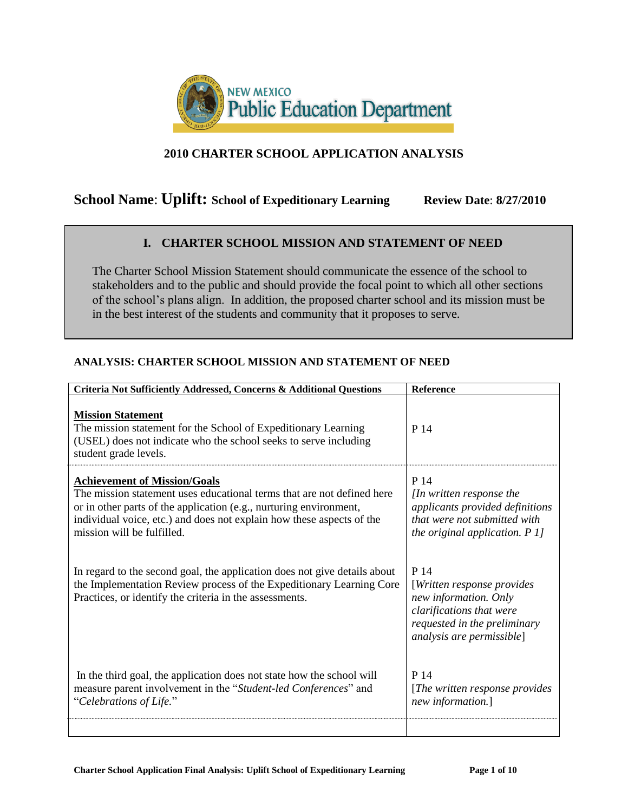

# **2010 CHARTER SCHOOL APPLICATION ANALYSIS**

# **School Name: Uplift: School of Expeditionary Learning Review Date: 8/27/2010**

# **I. CHARTER SCHOOL MISSION AND STATEMENT OF NEED**

The Charter School Mission Statement should communicate the essence of the school to stakeholders and to the public and should provide the focal point to which all other sections of the school's plans align. In addition, the proposed charter school and its mission must be in the best interest of the students and community that it proposes to serve.

| Criteria Not Sufficiently Addressed, Concerns & Additional Questions                                                                                                                                                                                                                       | Reference                                                                                                                                             |
|--------------------------------------------------------------------------------------------------------------------------------------------------------------------------------------------------------------------------------------------------------------------------------------------|-------------------------------------------------------------------------------------------------------------------------------------------------------|
| <b>Mission Statement</b><br>The mission statement for the School of Expeditionary Learning<br>(USEL) does not indicate who the school seeks to serve including<br>student grade levels.                                                                                                    | P 14                                                                                                                                                  |
| <b>Achievement of Mission/Goals</b><br>The mission statement uses educational terms that are not defined here<br>or in other parts of the application (e.g., nurturing environment,<br>individual voice, etc.) and does not explain how these aspects of the<br>mission will be fulfilled. | P 14<br>[In written response the<br>applicants provided definitions<br>that were not submitted with<br>the original application. $P1$                 |
| In regard to the second goal, the application does not give details about<br>the Implementation Review process of the Expeditionary Learning Core<br>Practices, or identify the criteria in the assessments.                                                                               | P 14<br>[Written response provides]<br>new information. Only<br>clarifications that were<br>requested in the preliminary<br>analysis are permissible] |
| In the third goal, the application does not state how the school will<br>measure parent involvement in the "Student-led Conferences" and<br>"Celebrations of Life."                                                                                                                        | P 14<br>[The written response provides]<br>new information.]                                                                                          |
|                                                                                                                                                                                                                                                                                            |                                                                                                                                                       |

#### **ANALYSIS: CHARTER SCHOOL MISSION AND STATEMENT OF NEED**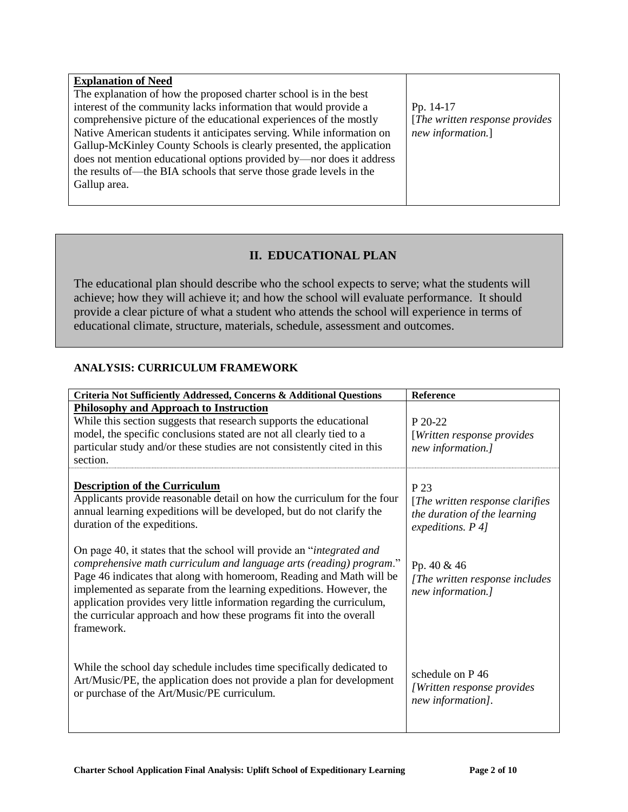| <b>Explanation of Need</b>                                                                                                                                                                                                                                                                                                                                                                                                                                                                                                  |                                                                   |
|-----------------------------------------------------------------------------------------------------------------------------------------------------------------------------------------------------------------------------------------------------------------------------------------------------------------------------------------------------------------------------------------------------------------------------------------------------------------------------------------------------------------------------|-------------------------------------------------------------------|
| The explanation of how the proposed charter school is in the best<br>interest of the community lacks information that would provide a<br>comprehensive picture of the educational experiences of the mostly<br>Native American students it anticipates serving. While information on<br>Gallup-McKinley County Schools is clearly presented, the application<br>does not mention educational options provided by—nor does it address<br>the results of—the BIA schools that serve those grade levels in the<br>Gallup area. | Pp. 14-17<br>[The written response provides]<br>new information.] |
|                                                                                                                                                                                                                                                                                                                                                                                                                                                                                                                             |                                                                   |

# **II. EDUCATIONAL PLAN**

The educational plan should describe who the school expects to serve; what the students will achieve; how they will achieve it; and how the school will evaluate performance. It should provide a clear picture of what a student who attends the school will experience in terms of educational climate, structure, materials, schedule, assessment and outcomes.

#### **ANALYSIS: CURRICULUM FRAMEWORK**

| Criteria Not Sufficiently Addressed, Concerns & Additional Questions                                                                                                                                                                                                                                                                                                                                                                                       | <b>Reference</b>                                                                              |
|------------------------------------------------------------------------------------------------------------------------------------------------------------------------------------------------------------------------------------------------------------------------------------------------------------------------------------------------------------------------------------------------------------------------------------------------------------|-----------------------------------------------------------------------------------------------|
| <b>Philosophy and Approach to Instruction</b><br>While this section suggests that research supports the educational<br>model, the specific conclusions stated are not all clearly tied to a<br>particular study and/or these studies are not consistently cited in this<br>section.                                                                                                                                                                        | $P 20-22$<br>[Written response provides]<br>new information.]                                 |
| <b>Description of the Curriculum</b><br>Applicants provide reasonable detail on how the curriculum for the four<br>annual learning expeditions will be developed, but do not clarify the<br>duration of the expeditions.                                                                                                                                                                                                                                   | P 23<br>[The written response clarifies]<br>the duration of the learning<br>expeditions. P 4] |
| On page 40, it states that the school will provide an "integrated and<br>comprehensive math curriculum and language arts (reading) program."<br>Page 46 indicates that along with homeroom, Reading and Math will be<br>implemented as separate from the learning expeditions. However, the<br>application provides very little information regarding the curriculum,<br>the curricular approach and how these programs fit into the overall<br>framework. | Pp. 40 & 46<br>[The written response includes]<br>new information.]                           |
| While the school day schedule includes time specifically dedicated to<br>Art/Music/PE, the application does not provide a plan for development<br>or purchase of the Art/Music/PE curriculum.                                                                                                                                                                                                                                                              | schedule on P46<br>[Written response provides]<br>new information].                           |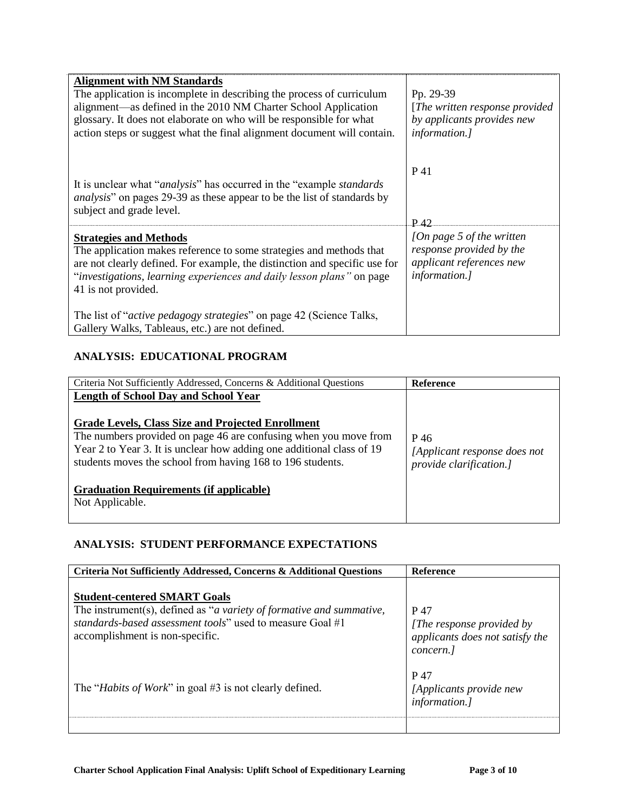| <b>Alignment with NM Standards</b><br>The application is incomplete in describing the process of curriculum<br>alignment—as defined in the 2010 NM Charter School Application<br>glossary. It does not elaborate on who will be responsible for what<br>action steps or suggest what the final alignment document will contain. | Pp. 29-39<br>[The written response provided]<br>by applicants provides new<br><i>information.]</i>         |
|---------------------------------------------------------------------------------------------------------------------------------------------------------------------------------------------------------------------------------------------------------------------------------------------------------------------------------|------------------------------------------------------------------------------------------------------------|
| It is unclear what " <i>analysis</i> " has occurred in the "example <i>standards</i> "<br><i>analysis</i> " on pages 29-39 as these appear to be the list of standards by<br>subject and grade level.                                                                                                                           | P 41<br>P.42                                                                                               |
| <b>Strategies and Methods</b><br>The application makes reference to some strategies and methods that<br>are not clearly defined. For example, the distinction and specific use for<br>"investigations, learning experiences and daily lesson plans" on page<br>41 is not provided.                                              | [On page 5 of the written]<br>response provided by the<br>applicant references new<br><i>information.]</i> |
| The list of " <i>active pedagogy strategies</i> " on page 42 (Science Talks,<br>Gallery Walks, Tableaus, etc.) are not defined.                                                                                                                                                                                                 |                                                                                                            |

## **ANALYSIS: EDUCATIONAL PROGRAM**

| Criteria Not Sufficiently Addressed, Concerns & Additional Questions                                                                                                                                                                                                                                               | Reference                                                       |
|--------------------------------------------------------------------------------------------------------------------------------------------------------------------------------------------------------------------------------------------------------------------------------------------------------------------|-----------------------------------------------------------------|
| <b>Length of School Day and School Year</b><br><b>Grade Levels, Class Size and Projected Enrollment</b><br>The numbers provided on page 46 are confusing when you move from<br>Year 2 to Year 3. It is unclear how adding one additional class of 19<br>students moves the school from having 168 to 196 students. | P 46<br>[Applicant response does not<br>provide clarification.] |
| <b>Graduation Requirements (if applicable)</b><br>Not Applicable.                                                                                                                                                                                                                                                  |                                                                 |

# **ANALYSIS: STUDENT PERFORMANCE EXPECTATIONS**

| Criteria Not Sufficiently Addressed, Concerns & Additional Questions                                                                                                                                                 | <b>Reference</b>                                                                  |
|----------------------------------------------------------------------------------------------------------------------------------------------------------------------------------------------------------------------|-----------------------------------------------------------------------------------|
| <b>Student-centered SMART Goals</b><br>The instrument(s), defined as " <i>a variety of formative and summative</i> ,<br>standards-based assessment tools" used to measure Goal #1<br>accomplishment is non-specific. | P 47<br>[The response provided by<br>applicants does not satisfy the<br>concern.] |
| The " <i>Habits of Work</i> " in goal #3 is not clearly defined.                                                                                                                                                     | P 47<br>[Applicants provide new<br>information.]                                  |
|                                                                                                                                                                                                                      |                                                                                   |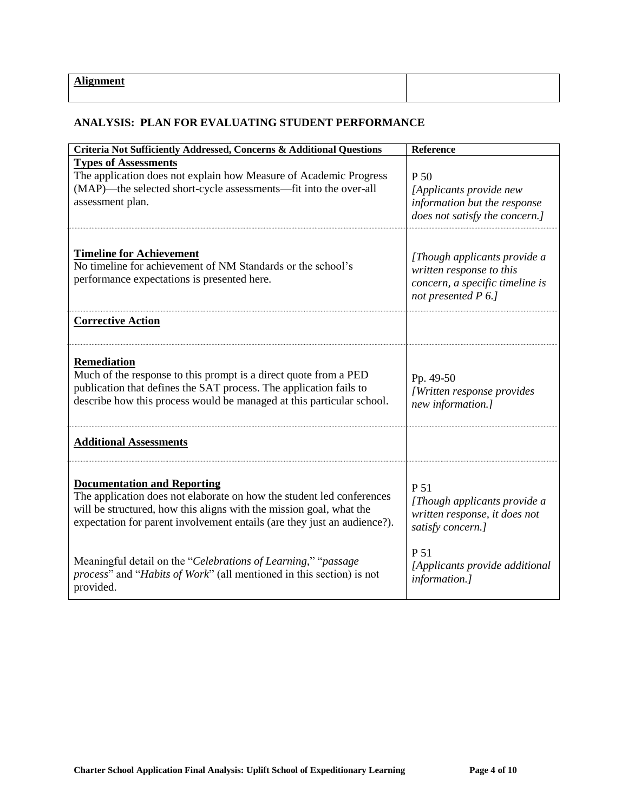#### **ANALYSIS: PLAN FOR EVALUATING STUDENT PERFORMANCE**

| Criteria Not Sufficiently Addressed, Concerns & Additional Questions                                                                                                                                                                                           | Reference                                                                                                          |
|----------------------------------------------------------------------------------------------------------------------------------------------------------------------------------------------------------------------------------------------------------------|--------------------------------------------------------------------------------------------------------------------|
| <b>Types of Assessments</b><br>The application does not explain how Measure of Academic Progress<br>(MAP)—the selected short-cycle assessments—fit into the over-all<br>assessment plan.                                                                       | P 50<br>[Applicants provide new<br>information but the response<br>does not satisfy the concern.]                  |
| <b>Timeline for Achievement</b><br>No timeline for achievement of NM Standards or the school's<br>performance expectations is presented here.                                                                                                                  | [Though applicants provide a<br>written response to this<br>concern, a specific timeline is<br>not presented P 6.] |
| <b>Corrective Action</b>                                                                                                                                                                                                                                       |                                                                                                                    |
| <b>Remediation</b><br>Much of the response to this prompt is a direct quote from a PED<br>publication that defines the SAT process. The application fails to<br>describe how this process would be managed at this particular school.                          | Pp. 49-50<br>[Written response provides<br>new information.]                                                       |
| <b>Additional Assessments</b>                                                                                                                                                                                                                                  |                                                                                                                    |
| <b>Documentation and Reporting</b><br>The application does not elaborate on how the student led conferences<br>will be structured, how this aligns with the mission goal, what the<br>expectation for parent involvement entails (are they just an audience?). | P 51<br>[Though applicants provide a<br>written response, it does not<br>satisfy concern.]                         |
| Meaningful detail on the "Celebrations of Learning," "passage"<br><i>process</i> " and " <i>Habits of Work</i> " (all mentioned in this section) is not<br>provided.                                                                                           | P 51<br>[Applicants provide additional<br>information.]                                                            |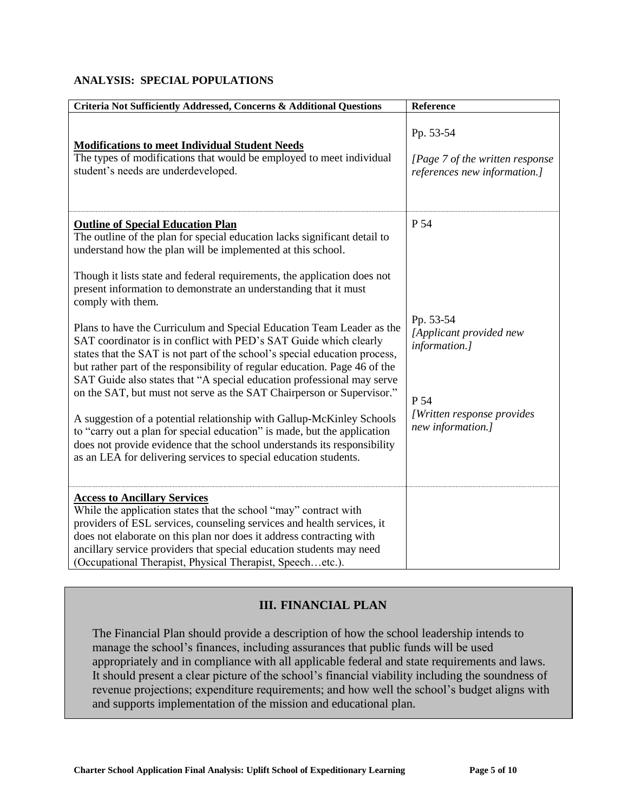#### **ANALYSIS: SPECIAL POPULATIONS**

| Criteria Not Sufficiently Addressed, Concerns & Additional Questions                                                                                                                                                                                                                                                                                                                                                                                                                                                                                                                                                                                                                                                                                           | Reference                                                                                                        |
|----------------------------------------------------------------------------------------------------------------------------------------------------------------------------------------------------------------------------------------------------------------------------------------------------------------------------------------------------------------------------------------------------------------------------------------------------------------------------------------------------------------------------------------------------------------------------------------------------------------------------------------------------------------------------------------------------------------------------------------------------------------|------------------------------------------------------------------------------------------------------------------|
| <b>Modifications to meet Individual Student Needs</b><br>The types of modifications that would be employed to meet individual<br>student's needs are underdeveloped.                                                                                                                                                                                                                                                                                                                                                                                                                                                                                                                                                                                           | Pp. 53-54<br>[Page 7 of the written response<br>references new information.]                                     |
| <b>Outline of Special Education Plan</b><br>The outline of the plan for special education lacks significant detail to<br>understand how the plan will be implemented at this school.<br>Though it lists state and federal requirements, the application does not<br>present information to demonstrate an understanding that it must<br>comply with them.                                                                                                                                                                                                                                                                                                                                                                                                      | P 54                                                                                                             |
| Plans to have the Curriculum and Special Education Team Leader as the<br>SAT coordinator is in conflict with PED's SAT Guide which clearly<br>states that the SAT is not part of the school's special education process,<br>but rather part of the responsibility of regular education. Page 46 of the<br>SAT Guide also states that "A special education professional may serve<br>on the SAT, but must not serve as the SAT Chairperson or Supervisor."<br>A suggestion of a potential relationship with Gallup-McKinley Schools<br>to "carry out a plan for special education" is made, but the application<br>does not provide evidence that the school understands its responsibility<br>as an LEA for delivering services to special education students. | Pp. 53-54<br>[Applicant provided new<br>information.]<br>P 54<br>[Written response provides<br>new information.] |
| <b>Access to Ancillary Services</b><br>While the application states that the school "may" contract with<br>providers of ESL services, counseling services and health services, it<br>does not elaborate on this plan nor does it address contracting with<br>ancillary service providers that special education students may need<br>(Occupational Therapist, Physical Therapist, Speechetc.).                                                                                                                                                                                                                                                                                                                                                                 |                                                                                                                  |

# **III. FINANCIAL PLAN**

The Financial Plan should provide a description of how the school leadership intends to manage the school's finances, including assurances that public funds will be used appropriately and in compliance with all applicable federal and state requirements and laws. It should present a clear picture of the school's financial viability including the soundness of revenue projections; expenditure requirements; and how well the school's budget aligns with and supports implementation of the mission and educational plan.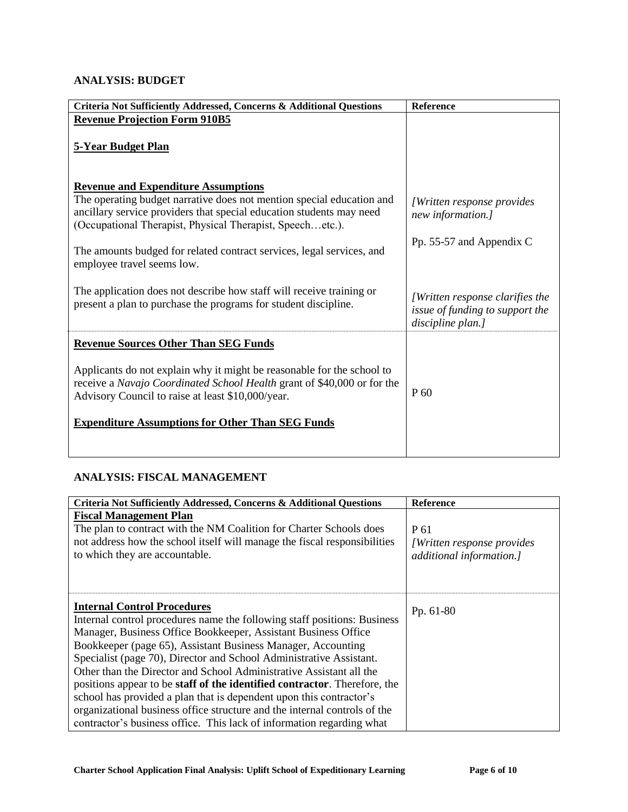## **ANALYSIS: BUDGET**

| Criteria Not Sufficiently Addressed, Concerns & Additional Questions                                                                                                                                                                                              | Reference                                                                                      |
|-------------------------------------------------------------------------------------------------------------------------------------------------------------------------------------------------------------------------------------------------------------------|------------------------------------------------------------------------------------------------|
| <b>Revenue Projection Form 910B5</b>                                                                                                                                                                                                                              |                                                                                                |
| <b>5-Year Budget Plan</b>                                                                                                                                                                                                                                         |                                                                                                |
| <b>Revenue and Expenditure Assumptions</b>                                                                                                                                                                                                                        |                                                                                                |
| The operating budget narrative does not mention special education and<br>ancillary service providers that special education students may need<br>(Occupational Therapist, Physical Therapist, Speechetc.).                                                        | [Written response provides]<br>new information.]                                               |
| The amounts budged for related contract services, legal services, and<br>employee travel seems low.                                                                                                                                                               | Pp. 55-57 and Appendix C                                                                       |
| The application does not describe how staff will receive training or<br>present a plan to purchase the programs for student discipline.                                                                                                                           | <i>[Written response clarifies the</i><br>issue of funding to support the<br>discipline plan.] |
| <b>Revenue Sources Other Than SEG Funds</b>                                                                                                                                                                                                                       |                                                                                                |
| Applicants do not explain why it might be reasonable for the school to<br>receive a Navajo Coordinated School Health grant of \$40,000 or for the<br>Advisory Council to raise at least \$10,000/year.<br><b>Expenditure Assumptions for Other Than SEG Funds</b> | P 60                                                                                           |

## **ANALYSIS: FISCAL MANAGEMENT**

| Criteria Not Sufficiently Addressed, Concerns & Additional Questions                                                                                                                                                                                                                                                                                                                                                                                                                                                                                                                                                                                                                                             | <b>Reference</b>                                                |
|------------------------------------------------------------------------------------------------------------------------------------------------------------------------------------------------------------------------------------------------------------------------------------------------------------------------------------------------------------------------------------------------------------------------------------------------------------------------------------------------------------------------------------------------------------------------------------------------------------------------------------------------------------------------------------------------------------------|-----------------------------------------------------------------|
| <b>Fiscal Management Plan</b><br>The plan to contract with the NM Coalition for Charter Schools does<br>not address how the school itself will manage the fiscal responsibilities<br>to which they are accountable.                                                                                                                                                                                                                                                                                                                                                                                                                                                                                              | P 61<br>[Written response provides]<br>additional information.] |
| <b>Internal Control Procedures</b><br>Internal control procedures name the following staff positions: Business<br>Manager, Business Office Bookkeeper, Assistant Business Office<br>Bookkeeper (page 65), Assistant Business Manager, Accounting<br>Specialist (page 70), Director and School Administrative Assistant.<br>Other than the Director and School Administrative Assistant all the<br>positions appear to be <b>staff of the identified contractor</b> . Therefore, the<br>school has provided a plan that is dependent upon this contractor's<br>organizational business office structure and the internal controls of the<br>contractor's business office. This lack of information regarding what | Pp. $61-80$                                                     |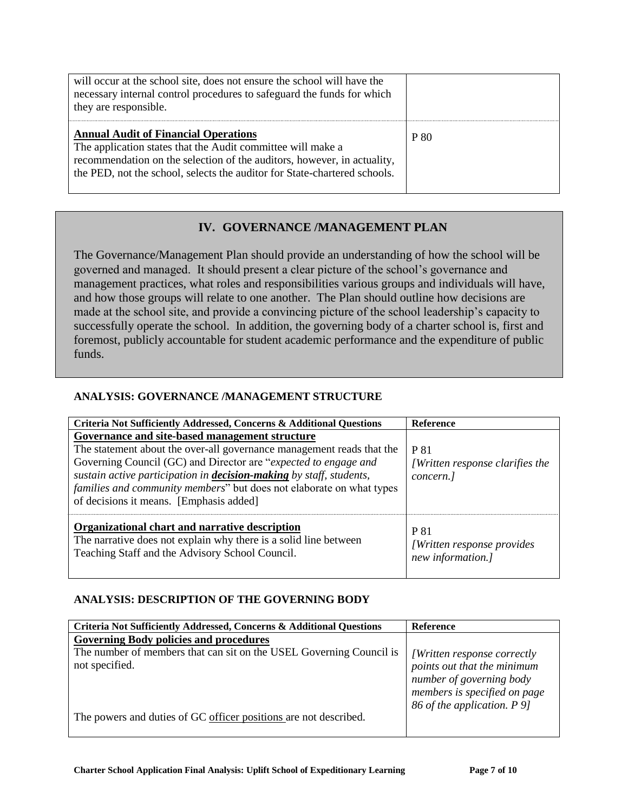| will occur at the school site, does not ensure the school will have the<br>necessary internal control procedures to safeguard the funds for which<br>they are responsible.                                                                                         |      |
|--------------------------------------------------------------------------------------------------------------------------------------------------------------------------------------------------------------------------------------------------------------------|------|
| <b>Annual Audit of Financial Operations</b><br>The application states that the Audit committee will make a<br>recommendation on the selection of the auditors, however, in actuality,<br>the PED, not the school, selects the auditor for State-chartered schools. | P 80 |

## **IV. GOVERNANCE /MANAGEMENT PLAN**

The Governance/Management Plan should provide an understanding of how the school will be governed and managed. It should present a clear picture of the school's governance and management practices, what roles and responsibilities various groups and individuals will have, and how those groups will relate to one another. The Plan should outline how decisions are made at the school site, and provide a convincing picture of the school leadership's capacity to successfully operate the school. In addition, the governing body of a charter school is, first and foremost, publicly accountable for student academic performance and the expenditure of public funds.

#### **ANALYSIS: GOVERNANCE /MANAGEMENT STRUCTURE**

| Criteria Not Sufficiently Addressed, Concerns & Additional Questions                                                                                                                                                                                                                                                                                                                                | <b>Reference</b>                                                       |
|-----------------------------------------------------------------------------------------------------------------------------------------------------------------------------------------------------------------------------------------------------------------------------------------------------------------------------------------------------------------------------------------------------|------------------------------------------------------------------------|
| Governance and site-based management structure<br>The statement about the over-all governance management reads that the<br>Governing Council (GC) and Director are "expected to engage and<br>sustain active participation in <b>decision-making</b> by staff, students,<br><i>families and community members</i> " but does not elaborate on what types<br>of decisions it means. [Emphasis added] | <b>P</b> 81<br><i>[Written response clarifies the</i><br>concern.]     |
| Organizational chart and narrative description<br>The narrative does not explain why there is a solid line between<br>Teaching Staff and the Advisory School Council.                                                                                                                                                                                                                               | <b>P</b> 81<br><i>[Written response provides]</i><br>new information.] |

#### **ANALYSIS: DESCRIPTION OF THE GOVERNING BODY**

| Criteria Not Sufficiently Addressed, Concerns & Additional Questions | <b>Reference</b>             |
|----------------------------------------------------------------------|------------------------------|
| <b>Governing Body policies and procedures</b>                        |                              |
| The number of members that can sit on the USEL Governing Council is  | [Written response correctly  |
| not specified.                                                       | points out that the minimum  |
|                                                                      | number of governing body     |
|                                                                      | members is specified on page |
|                                                                      | 86 of the application. P 9]  |
| The powers and duties of GC officer positions are not described.     |                              |
|                                                                      |                              |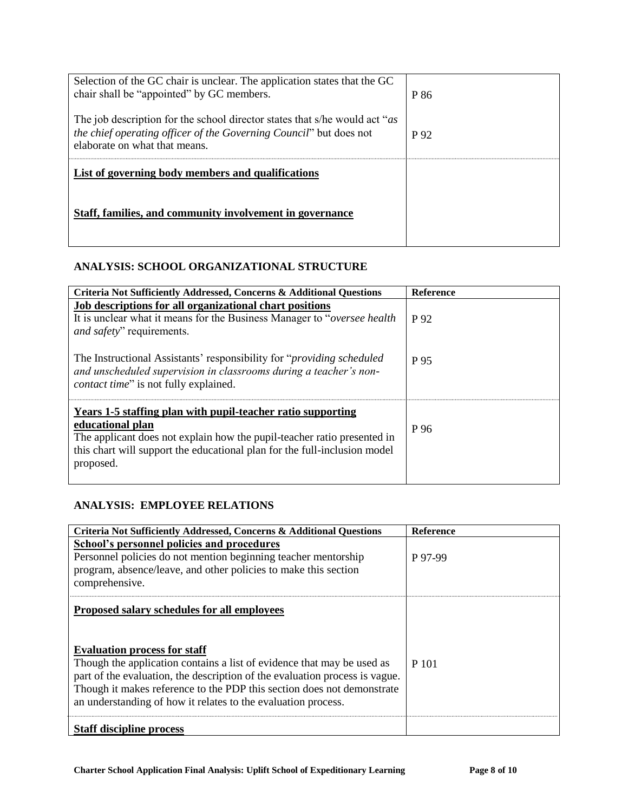| Selection of the GC chair is unclear. The application states that the GC                                                                                                          |      |
|-----------------------------------------------------------------------------------------------------------------------------------------------------------------------------------|------|
| chair shall be "appointed" by GC members.                                                                                                                                         | P 86 |
| The job description for the school director states that s/he would act "as<br>the chief operating officer of the Governing Council" but does not<br>elaborate on what that means. | P 92 |
| List of governing body members and qualifications                                                                                                                                 |      |
|                                                                                                                                                                                   |      |
| Staff, families, and community involvement in governance                                                                                                                          |      |
|                                                                                                                                                                                   |      |

## **ANALYSIS: SCHOOL ORGANIZATIONAL STRUCTURE**

| <b>Criteria Not Sufficiently Addressed, Concerns &amp; Additional Questions</b>                                                                                                                                                                      | <b>Reference</b> |
|------------------------------------------------------------------------------------------------------------------------------------------------------------------------------------------------------------------------------------------------------|------------------|
| Job descriptions for all organizational chart positions<br>It is unclear what it means for the Business Manager to " <i>oversee health</i> "<br><i>and safety</i> " requirements.                                                                    | P 92             |
| The Instructional Assistants' responsibility for " <i>providing scheduled</i><br>and unscheduled supervision in classrooms during a teacher's non-<br><i>contact time</i> " is not fully explained.                                                  | P 95             |
| Years 1-5 staffing plan with pupil-teacher ratio supporting<br>educational plan<br>The applicant does not explain how the pupil-teacher ratio presented in<br>this chart will support the educational plan for the full-inclusion model<br>proposed. | P 96             |

## **ANALYSIS: EMPLOYEE RELATIONS**

| Criteria Not Sufficiently Addressed, Concerns & Additional Questions                                                                                                                                                                                                                                                                                                                   | <b>Reference</b> |
|----------------------------------------------------------------------------------------------------------------------------------------------------------------------------------------------------------------------------------------------------------------------------------------------------------------------------------------------------------------------------------------|------------------|
| School's personnel policies and procedures<br>Personnel policies do not mention beginning teacher mentorship<br>program, absence/leave, and other policies to make this section<br>comprehensive.                                                                                                                                                                                      | P 97-99          |
| Proposed salary schedules for all employees<br><b>Evaluation process for staff</b><br>Though the application contains a list of evidence that may be used as<br>part of the evaluation, the description of the evaluation process is vague.<br>Though it makes reference to the PDP this section does not demonstrate<br>an understanding of how it relates to the evaluation process. | P 101            |
| <b>Staff discipline process</b>                                                                                                                                                                                                                                                                                                                                                        |                  |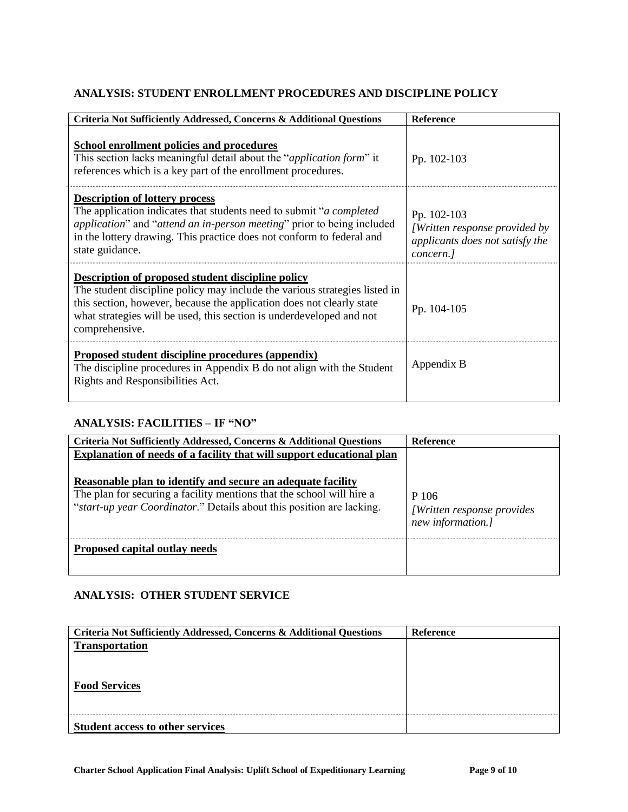## **ANALYSIS: STUDENT ENROLLMENT PROCEDURES AND DISCIPLINE POLICY**

| Criteria Not Sufficiently Addressed, Concerns & Additional Questions                                                                                                                                                                                                                               | <b>Reference</b>                                                                             |
|----------------------------------------------------------------------------------------------------------------------------------------------------------------------------------------------------------------------------------------------------------------------------------------------------|----------------------------------------------------------------------------------------------|
| <b>School enrollment policies and procedures</b><br>This section lacks meaningful detail about the " <i>application form</i> " it<br>references which is a key part of the enrollment procedures.                                                                                                  | Pp. 102-103                                                                                  |
| <b>Description of lottery process</b><br>The application indicates that students need to submit " <i>a completed</i><br>application" and "attend an in-person meeting" prior to being included<br>in the lottery drawing. This practice does not conform to federal and<br>state guidance.         | Pp. 102-103<br>[Written response provided by<br>applicants does not satisfy the<br>concern.] |
| Description of proposed student discipline policy<br>The student discipline policy may include the various strategies listed in<br>this section, however, because the application does not clearly state<br>what strategies will be used, this section is underdeveloped and not<br>comprehensive. | Pp. 104-105                                                                                  |
| Proposed student discipline procedures (appendix)<br>The discipline procedures in Appendix B do not align with the Student<br>Rights and Responsibilities Act.                                                                                                                                     | Appendix B                                                                                   |

#### **ANALYSIS: FACILITIES – IF "NO"**

| Criteria Not Sufficiently Addressed, Concerns & Additional Questions                                                                                                                                                                                                                   | <b>Reference</b>                                         |
|----------------------------------------------------------------------------------------------------------------------------------------------------------------------------------------------------------------------------------------------------------------------------------------|----------------------------------------------------------|
| Explanation of needs of a facility that will support educational plan<br>Reasonable plan to identify and secure an adequate facility<br>The plan for securing a facility mentions that the school will hire a<br>"start-up year Coordinator." Details about this position are lacking. | P 106<br>[Written response provides<br>new information.] |
| <b>Proposed capital outlay needs</b>                                                                                                                                                                                                                                                   |                                                          |

### **ANALYSIS: OTHER STUDENT SERVICE**

| Criteria Not Sufficiently Addressed, Concerns & Additional Questions | <b>Reference</b> |
|----------------------------------------------------------------------|------------------|
| <b>Transportation</b>                                                |                  |
|                                                                      |                  |
|                                                                      |                  |
| <b>Food Services</b>                                                 |                  |
|                                                                      |                  |
|                                                                      |                  |
|                                                                      |                  |
| <b>Student access to other services</b>                              |                  |